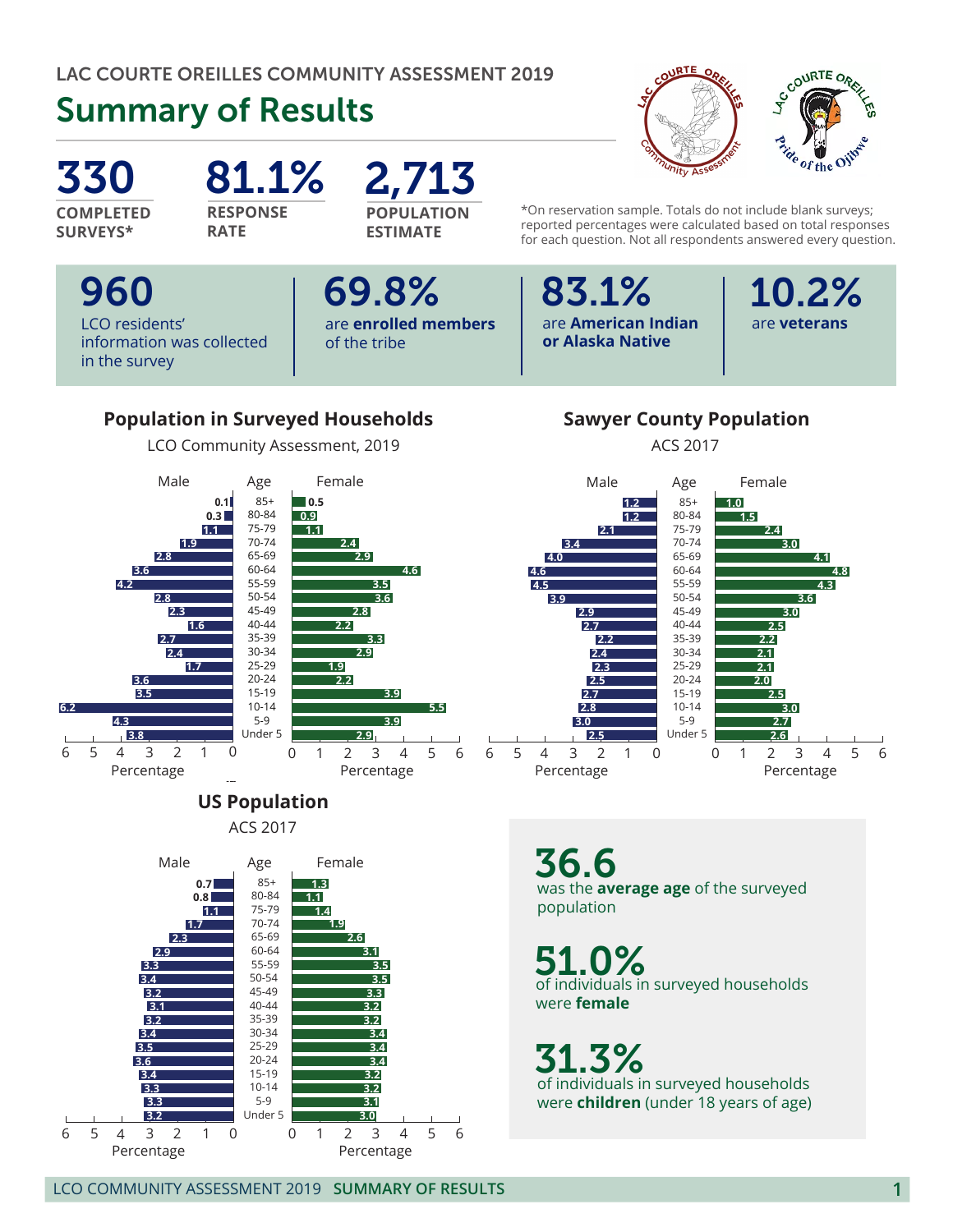## Summary of Results





**ACS 2017** 



36.6 was the **average age** of the surveyed population

51.0% of individuals in surveyed households were **female**

31.3% of individuals in surveyed households were **children** (under 18 years of age)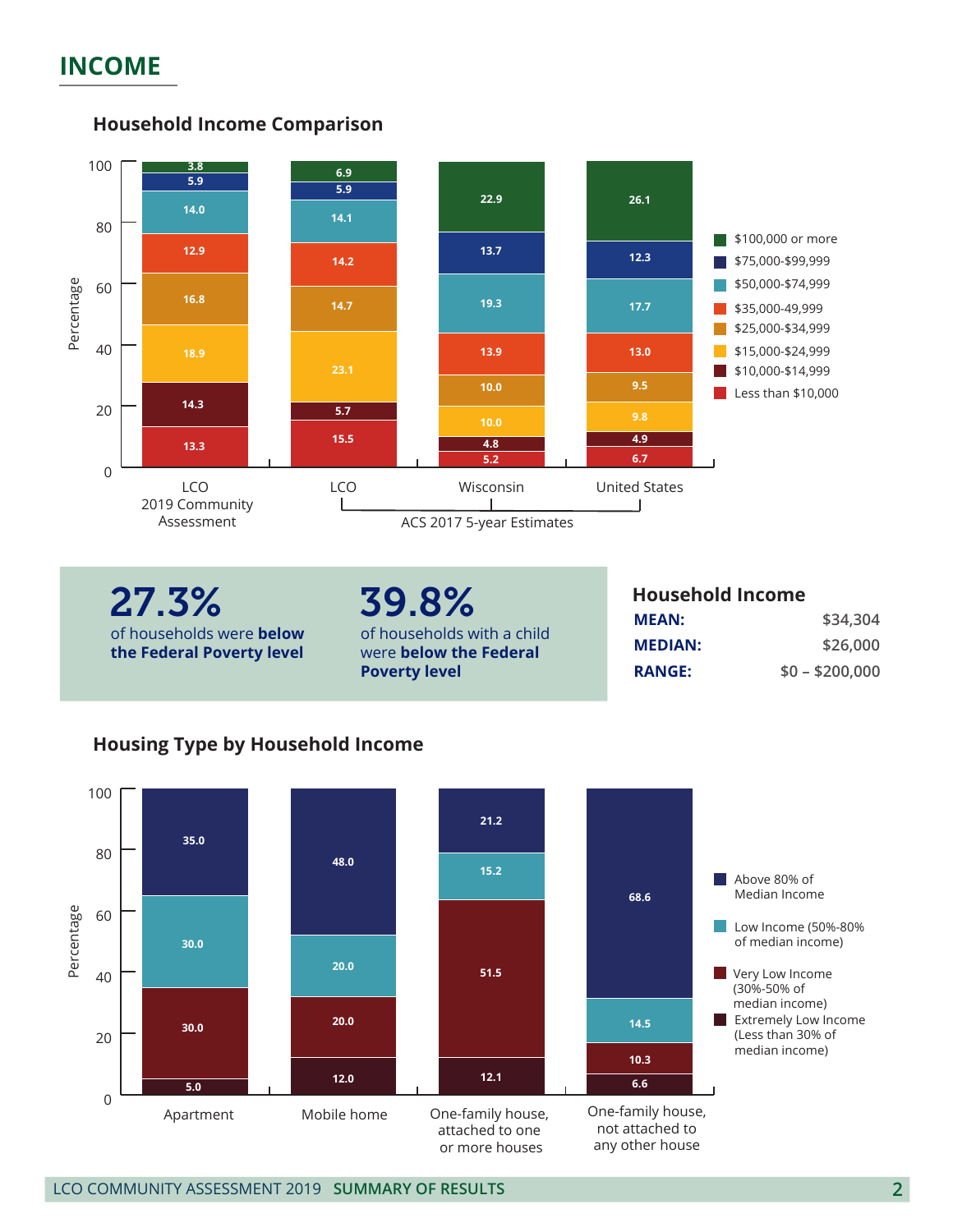## **INCOME**



**Annual Household Income Comparison Household Income Comparison**

of households were **below the Federal Poverty level** 39.8% of households with a child were **below the Federal Poverty level**

| <b>Household Income</b> |                 |  |
|-------------------------|-----------------|--|
| <b>MEAN:</b>            | \$34,304        |  |
| <b>MEDIAN:</b>          | \$26,000        |  |
| <b>RANGE:</b>           | $$0 - $200.000$ |  |

## **Housing Type by Household Income Housing Type by Household Income**

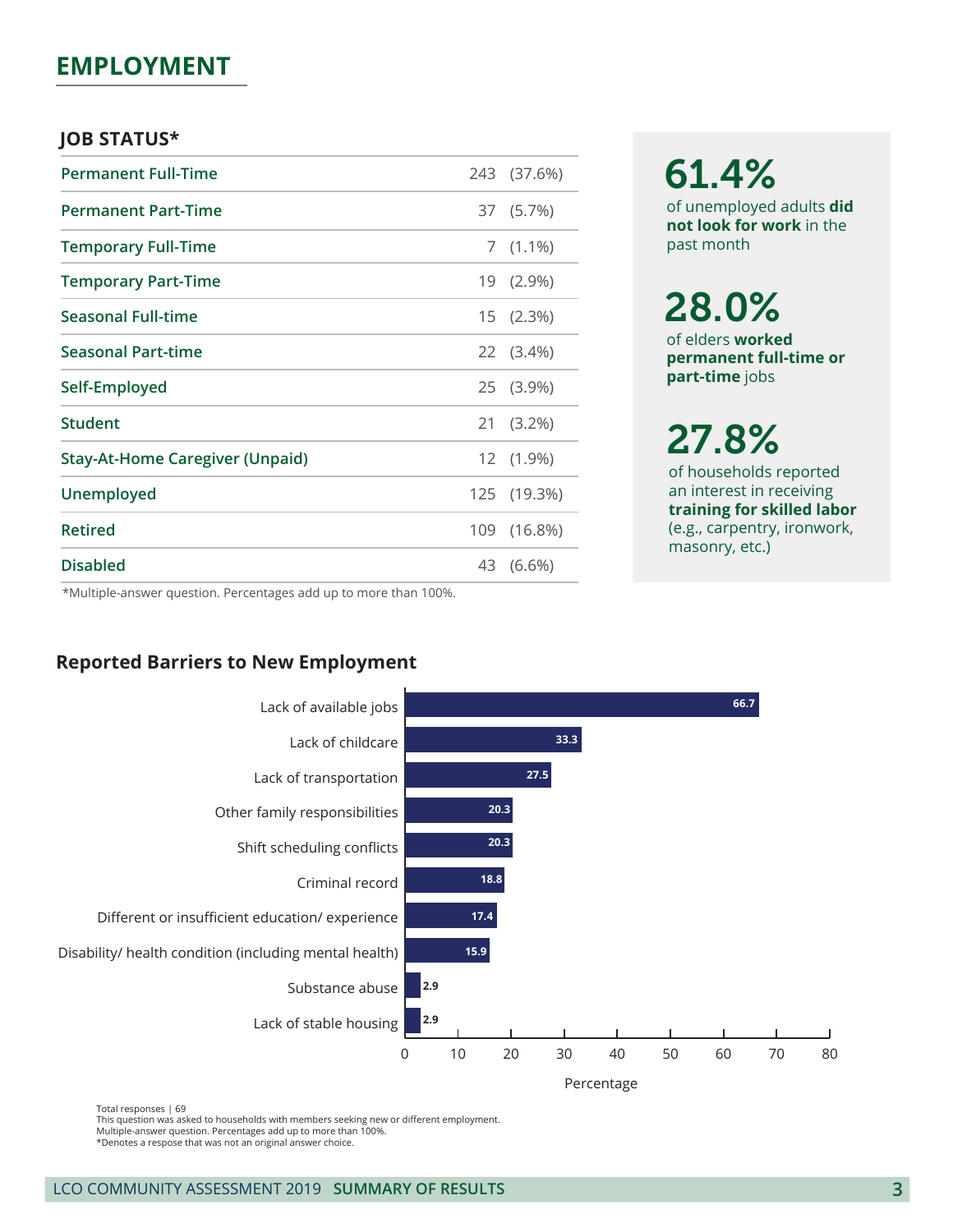## **EMPLOYMENT**

#### **JOB STATUS\***

| <b>Permanent Full-Time</b>             |    | 243 (37.6%) |
|----------------------------------------|----|-------------|
| <b>Permanent Part-Time</b>             |    | 37 (5.7%)   |
| <b>Temporary Full-Time</b>             |    | $7(1.1\%)$  |
| <b>Temporary Part-Time</b>             |    | 19 (2.9%)   |
| <b>Seasonal Full-time</b>              |    | 15 (2.3%)   |
| <b>Seasonal Part-time</b>              |    | 22 (3.4%)   |
| Self-Employed                          |    | 25 (3.9%)   |
| <b>Student</b>                         | 21 | $(3.2\%)$   |
| <b>Stay-At-Home Caregiver (Unpaid)</b> |    | 12 (1.9%)   |
| Unemployed                             |    | 125 (19.3%) |
| <b>Retired</b>                         |    | 109 (16.8%) |
| <b>Disabled</b>                        | 43 | $(6.6\%)$   |

61.4%

of unemployed adults **did not look for work** in the past month

# 28.0%

of elders **worked permanent full-time or part-time** jobs

# 27.8%

of households reported an interest in receiving **training for skilled labor** (e.g., carpentry, ironwork, masonry, etc.)

\*Multiple-answer question. Percentages add up to more than 100%.

## **Reported Barriers to New Employment**



Total responses | 69

This question was asked to households with members seeking new or different employment.

Multiple-answer question. Percentages add up to more than 100%. \*Denotes a respose that was not an original answer choice.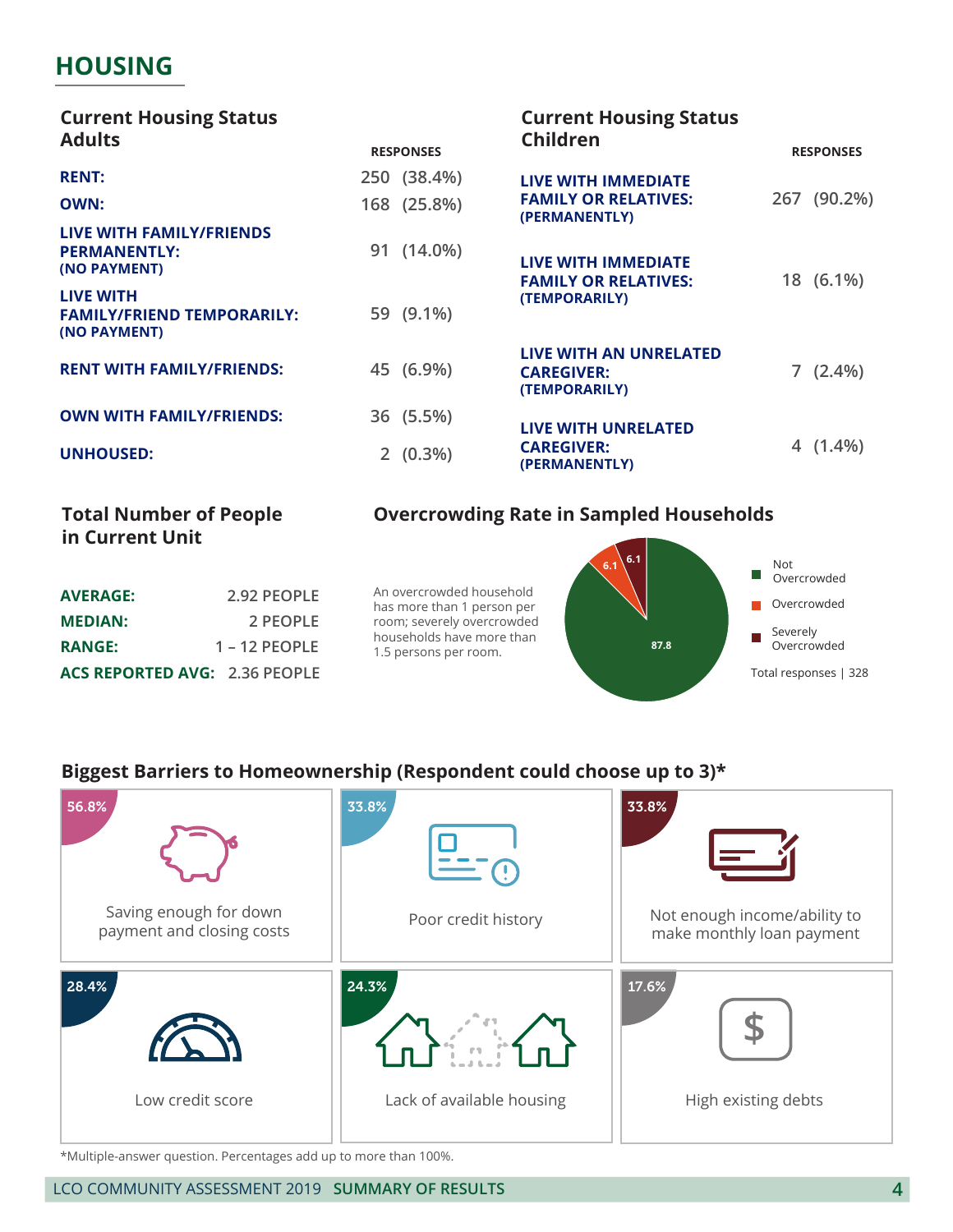## **HOUSING**

| <b>Current Housing Status</b><br><b>Adults</b>                        |                  | <b>Current Housing Status</b><br>Children                    |     |                  |
|-----------------------------------------------------------------------|------------------|--------------------------------------------------------------|-----|------------------|
|                                                                       | <b>RESPONSES</b> |                                                              |     | <b>RESPONSES</b> |
| <b>RENT:</b>                                                          | 250 (38.4%)      | LIVE WITH IMMEDIATE                                          |     |                  |
| <b>OWN:</b>                                                           | 168 (25.8%)      | <b>FAMILY OR RELATIVES:</b><br>(PERMANENTLY)                 | 267 | $(90.2\%)$       |
| LIVE WITH FAMILY/FRIENDS<br><b>PERMANENTLY:</b><br>(NO PAYMENT)       | 91 (14.0%)       | LIVE WITH IMMEDIATE<br><b>FAMILY OR RELATIVES:</b>           |     | 18 (6.1%)        |
| <b>LIVE WITH</b><br><b>FAMILY/FRIEND TEMPORARILY:</b><br>(NO PAYMENT) | 59 (9.1%)        | (TEMPORARILY)                                                |     |                  |
| <b>RENT WITH FAMILY/FRIENDS:</b>                                      | 45 (6.9%)        | LIVE WITH AN UNRELATED<br><b>CAREGIVER:</b><br>(TEMPORARILY) |     | $7(2.4\%)$       |
| <b>OWN WITH FAMILY/FRIENDS:</b>                                       | 36 (5.5%)        | <b>LIVE WITH UNRELATED</b>                                   |     |                  |
| <b>UNHOUSED:</b>                                                      | $2(0.3\%)$       | <b>CAREGIVER:</b><br>(PERMANENTLY)                           |     | 4 (1.4%)         |

#### **Total Number of People in Current Unit**

| <b>AVERAGE:</b>                      | 2.92 PEOPLE     |
|--------------------------------------|-----------------|
| <b>MEDIAN:</b>                       | 2 PEOPLE        |
| <b>RANGE:</b>                        | $1 - 12$ PEOPLE |
| <b>ACS REPORTED AVG: 2.36 PEOPLE</b> |                 |

An overcrowded household has more than 1 person per room; severely overcrowded households have more than 1.5 persons per room.



### **Biggest Barriers to Homeownership (Respondent could choose up to 3)\***

| 56.8%                                               | 33.8%                     | 33.8%                                                     |
|-----------------------------------------------------|---------------------------|-----------------------------------------------------------|
| Saving enough for down<br>payment and closing costs | Poor credit history       | Not enough income/ability to<br>make monthly loan payment |
| 28.4%                                               | 24.3%                     | 17.6%                                                     |
| Low credit score                                    | Lack of available housing | High existing debts                                       |

\*Multiple-answer question. Percentages add up to more than 100%.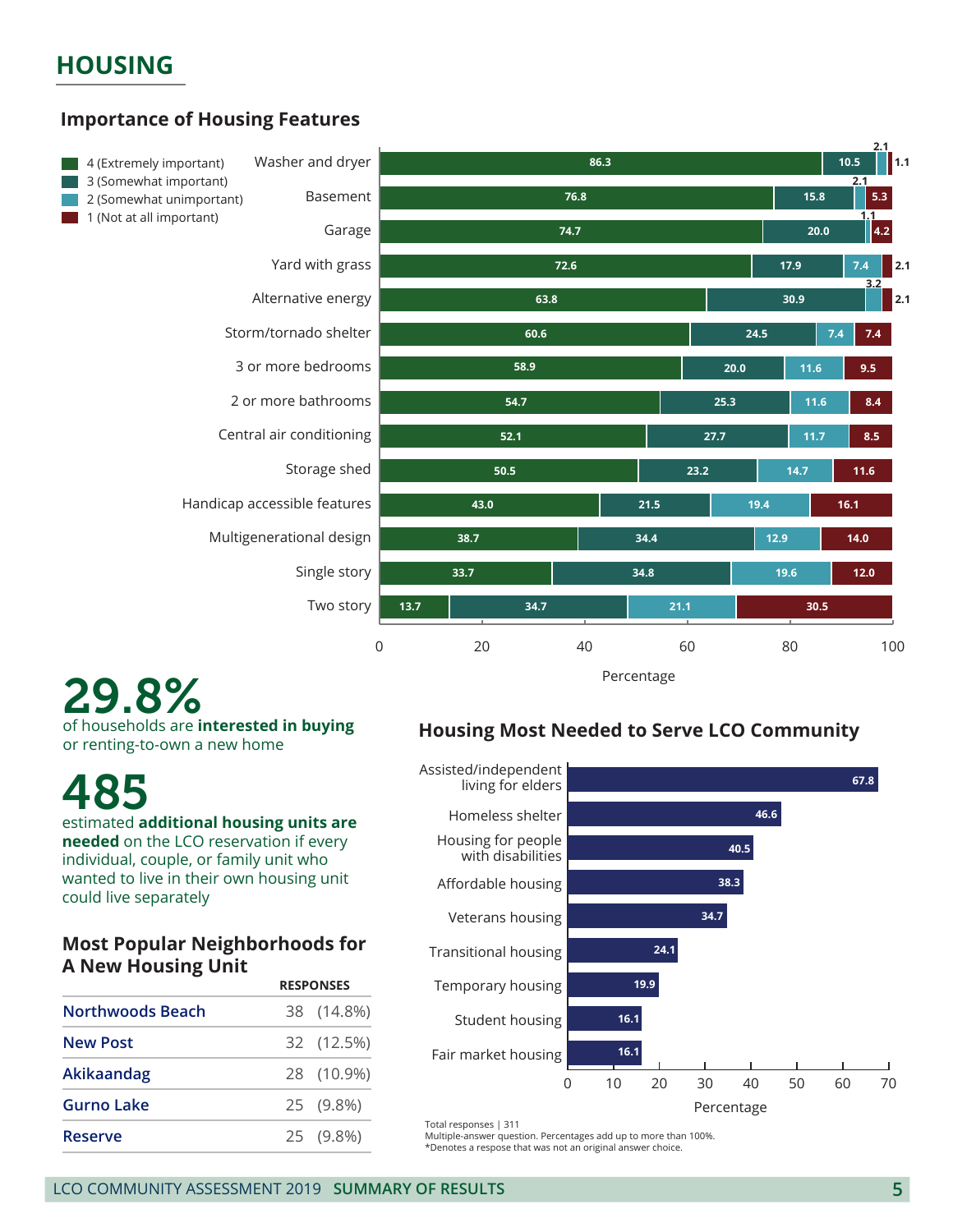#### **Importance of Home Features HOUSING**

## **Importance of Housing Features**



29.8% of households are **interested in buying** or renting-to-own a new home

# 485 estimated **additional housing units are**

**needed** on the LCO reservation if every individual, couple, or family unit who wanted to live in their own housing unit could live separately

#### **RESPONSES Most Popular Neighborhoods for A New Housing Unit**

|                         | 11. JE VIVJLJ |  |  |
|-------------------------|---------------|--|--|
| <b>Northwoods Beach</b> | 38 (14.8%)    |  |  |
| New Post                | 32 (12.5%)    |  |  |
| Akikaandag              | 28 (10.9%)    |  |  |
| <b>Gurno Lake</b>       | 25 (9.8%)     |  |  |
| <b>Reserve</b>          | 25 (9.8%)     |  |  |

#### **Housing Most Needed to Serve LCO Community**



Total responses | 311

Multiple-answer question. Percentages add up to more than 100%. \*Denotes a respose that was not an original answer choice.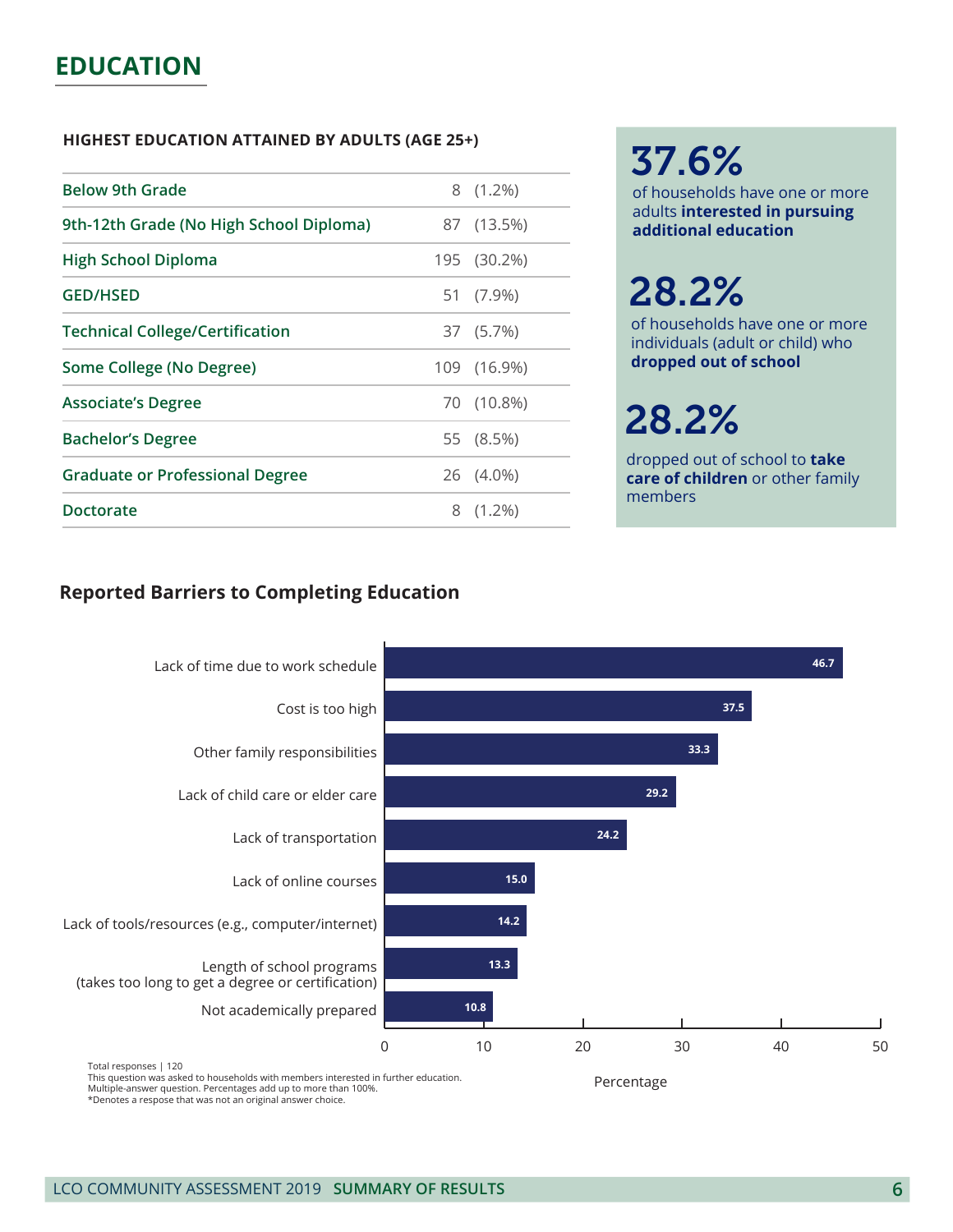## **EDUCATION**

#### **HIGHEST EDUCATION ATTAINED BY ADULTS (AGE 25+)**

| <b>Below 9th Grade</b>                  |   | $8(1.2\%)$  |
|-----------------------------------------|---|-------------|
| 9th-12th Grade (No High School Diploma) |   | 87 (13.5%)  |
| <b>High School Diploma</b>              |   | 195 (30.2%) |
| <b>GED/HSED</b>                         |   | 51 (7.9%)   |
| <b>Technical College/Certification</b>  |   | 37 (5.7%)   |
| Some College (No Degree)                |   | 109 (16.9%) |
| <b>Associate's Degree</b>               |   | 70 (10.8%)  |
| <b>Bachelor's Degree</b>                |   | 55 (8.5%)   |
| <b>Graduate or Professional Degree</b>  |   | 26 (4.0%)   |
| Doctorate                               | 8 | $(1.2\%)$   |
|                                         |   |             |

# 37.6%

of households have one or more adults **interested in pursuing additional education**

# 28.2%

of households have one or more individuals (adult or child) who **dropped out of school**

# 28.2%

dropped out of school to **take care of children** or other family members

#### **Reported Barriers to Continuing Education** LCO 2019 Community Assessment **Reported Barriers to Completing Education**



This question was asked to households with members interested in further education. Multiple-answer question. Percentages add up to more than 100%. \*Denotes a respose that was not an original answer choice.

Percentage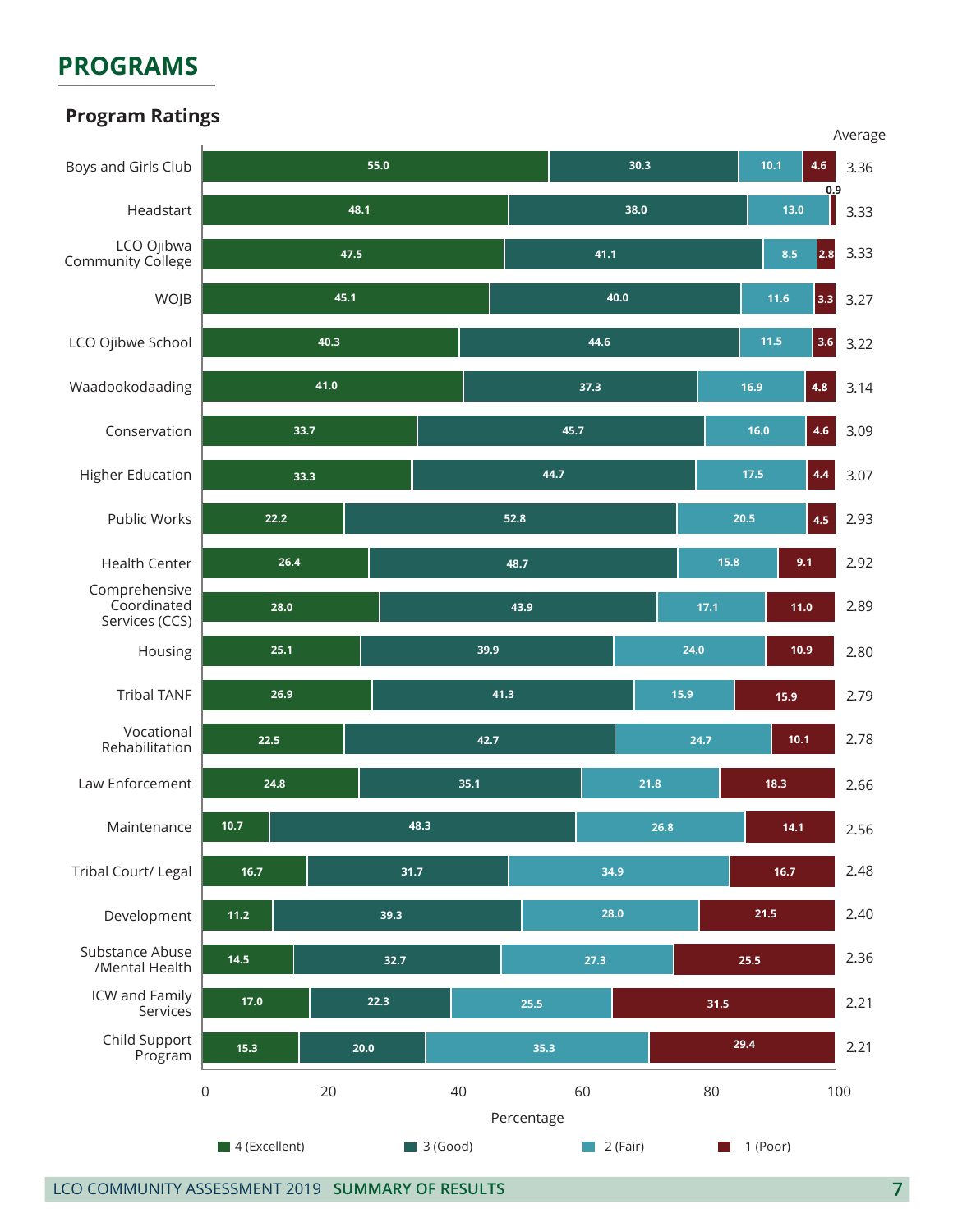#### **Program Ratings PROGRAMS**

## **Program Ratings**



LCO COMMUNITY ASSESSMENT 2019 **SUMMARY OF RESULTS 7**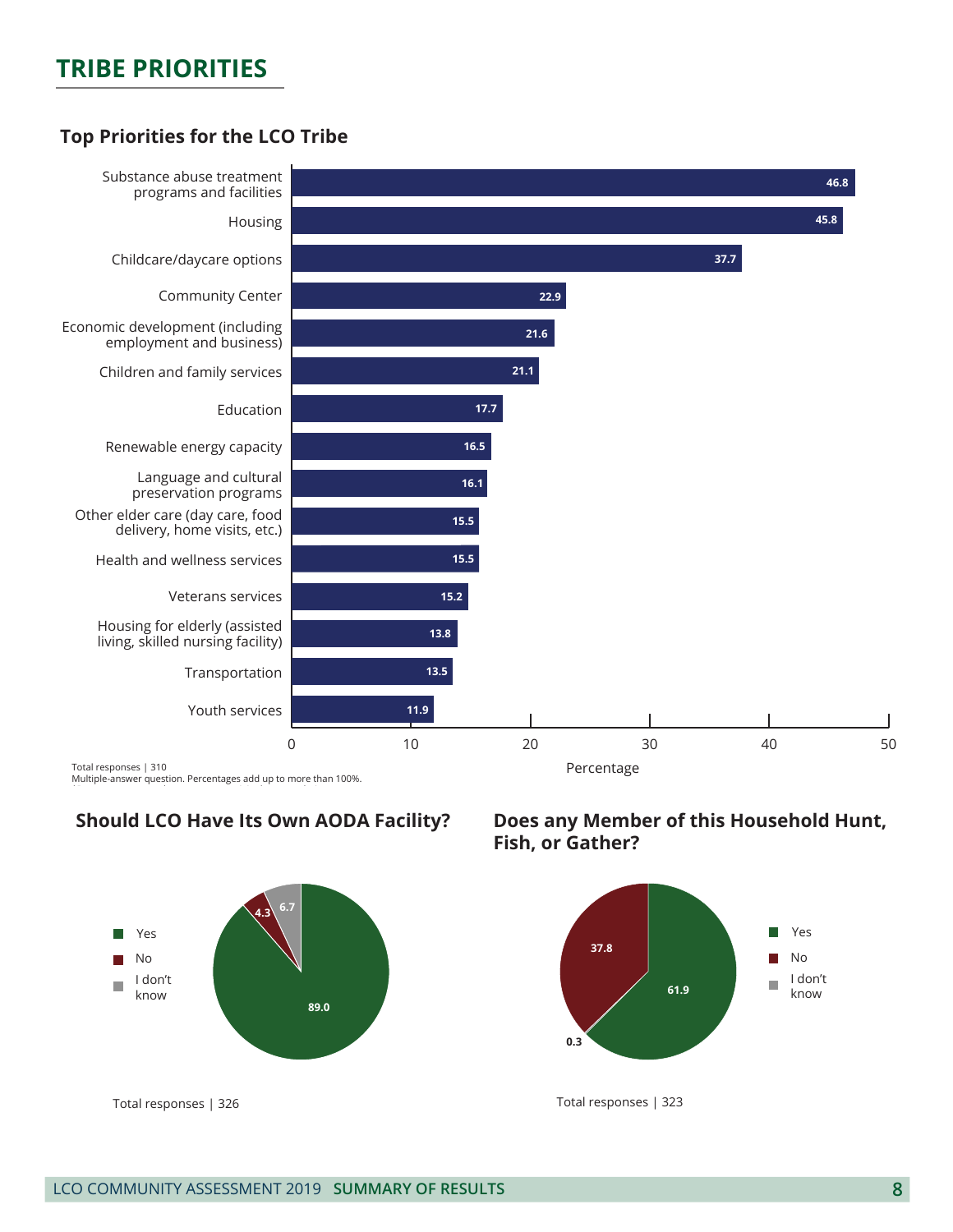## **TRIBE PRIORITIES**

## **Top Priorities for the LCO Tribe**



Multiple-answer question. Percentages add up to more than 100%.

## Should LCO Have Its Own AODA Facility?



 $\mathsf{Pish}, \mathsf{or} \ \mathsf{Gather?}$ **Does any Member of this Household Hunt,** 



Total responses | 323